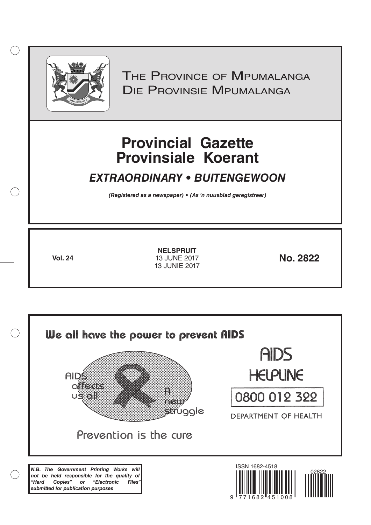

 $( )$ 

THE PROVINCE OF MPUMALANGA Die Provinsie Mpumalanga

# **Provincial Gazette Provinsiale Koerant**

# *EXTRAORDINARY • BUITENGEWOON*

*(Registered as a newspaper) • (As 'n nuusblad geregistreer)*

**Vol. 24 No. 2822 NELSPRUIT** 13 JUNE 2017 13 JUNIE 2017

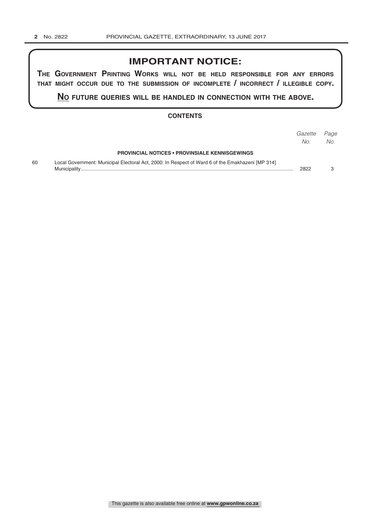## **IMPORTANT NOTICE:**

**The GovernmenT PrinTinG Works Will noT be held resPonsible for any errors ThaT miGhT occur due To The submission of incomPleTe / incorrecT / illeGible coPy.**

**no fuTure queries Will be handled in connecTion WiTh The above.**

#### **CONTENTS**

|    |                                                                                                  | Gazette<br>No. | Page<br>No. |
|----|--------------------------------------------------------------------------------------------------|----------------|-------------|
|    | <b>PROVINCIAL NOTICES • PROVINSIALE KENNISGEWINGS</b>                                            |                |             |
| 60 | Local Government: Municipal Electoral Act, 2000: In Respect of Ward 6 of the Emakhazeni [MP 314] | 2822           |             |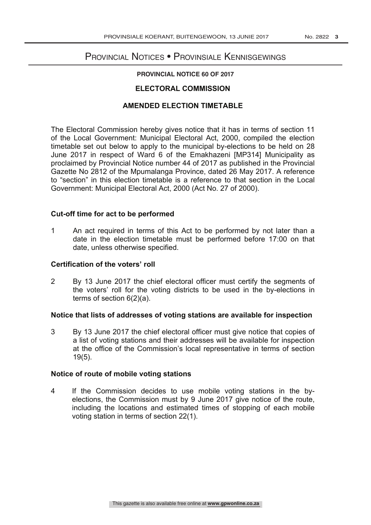### Provincial Notices • Provinsiale Kennisgewings

#### **PROVINCIAL NOTICE 60 OF 2017**

#### **ELECTORAL COMMISSION**

#### **AMENDED ELECTION TIMETABLE**

The Electoral Commission hereby gives notice that it has in terms of section 11 of the Local Government: Municipal Electoral Act, 2000, compiled the election timetable set out below to apply to the municipal by-elections to be held on 28 June 2017 in respect of Ward 6 of the Emakhazeni [MP314] Municipality as proclaimed by Provincial Notice number 44 of 2017 as published in the Provincial Gazette No 2812 of the Mpumalanga Province, dated 26 May 2017. A reference to "section" in this election timetable is a reference to that section in the Local Government: Municipal Electoral Act, 2000 (Act No. 27 of 2000).

#### **Cut-off time for act to be performed**

1 An act required in terms of this Act to be performed by not later than a date in the election timetable must be performed before 17:00 on that date, unless otherwise specified.

#### **Certification of the voters' roll**

2 By 13 June 2017 the chief electoral officer must certify the segments of the voters' roll for the voting districts to be used in the by-elections in terms of section 6(2)(a).

#### **Notice that lists of addresses of voting stations are available for inspection**

3 By 13 June 2017 the chief electoral officer must give notice that copies of a list of voting stations and their addresses will be available for inspection at the office of the Commission's local representative in terms of section 19(5).

#### **Notice of route of mobile voting stations**

4 If the Commission decides to use mobile voting stations in the byelections, the Commission must by 9 June 2017 give notice of the route, including the locations and estimated times of stopping of each mobile voting station in terms of section 22(1).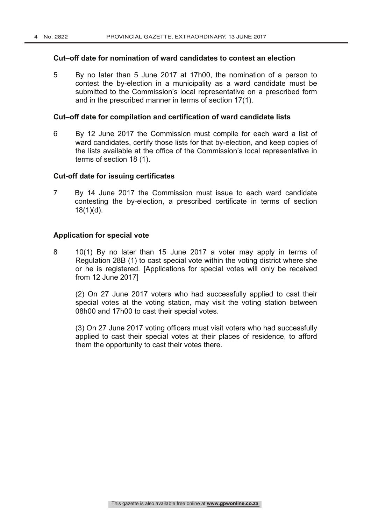#### **Cut–off date for nomination of ward candidates to contest an election**

5 By no later than 5 June 2017 at 17h00, the nomination of a person to contest the by-election in a municipality as a ward candidate must be submitted to the Commission's local representative on a prescribed form and in the prescribed manner in terms of section 17(1).

#### **Cut–off date for compilation and certification of ward candidate lists**

6 By 12 June 2017 the Commission must compile for each ward a list of ward candidates, certify those lists for that by-election, and keep copies of the lists available at the office of the Commission's local representative in terms of section 18 (1).

#### **Cut-off date for issuing certificates**

7 By 14 June 2017 the Commission must issue to each ward candidate contesting the by-election, a prescribed certificate in terms of section 18(1)(d).

#### **Application for special vote**

8 10(1) By no later than 15 June 2017 a voter may apply in terms of Regulation 28B (1) to cast special vote within the voting district where she or he is registered. [Applications for special votes will only be received from 12 June 2017]

(2) On 27 June 2017 voters who had successfully applied to cast their special votes at the voting station, may visit the voting station between 08h00 and 17h00 to cast their special votes.

(3) On 27 June 2017 voting officers must visit voters who had successfully applied to cast their special votes at their places of residence, to afford them the opportunity to cast their votes there.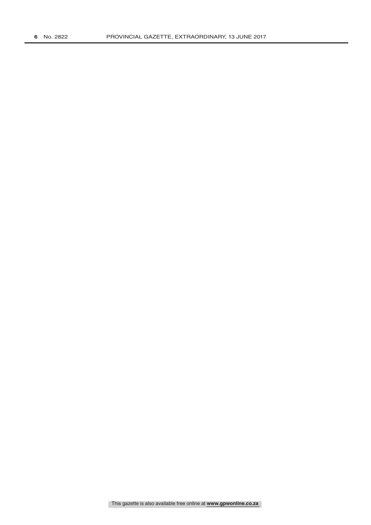This gazette is also available free online at **www.gpwonline.co.za**